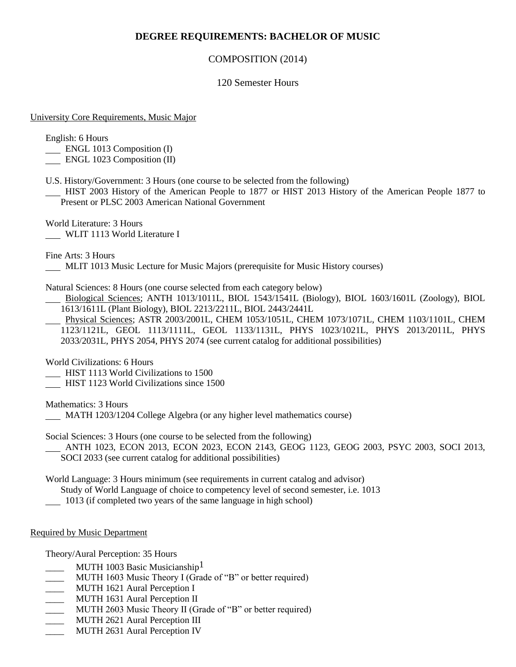# **DEGREE REQUIREMENTS: BACHELOR OF MUSIC**

## COMPOSITION (2014)

### 120 Semester Hours

#### University Core Requirements, Music Major

English: 6 Hours

- ENGL 1013 Composition (I)
- ENGL 1023 Composition (II)
- U.S. History/Government: 3 Hours (one course to be selected from the following)
- HIST 2003 History of the American People to 1877 or HIST 2013 History of the American People 1877 to Present or PLSC 2003 American National Government

World Literature: 3 Hours WLIT 1113 World Literature I

Fine Arts: 3 Hours

MLIT 1013 Music Lecture for Music Majors (prerequisite for Music History courses)

Natural Sciences: 8 Hours (one course selected from each category below)

- Biological Sciences; ANTH 1013/1011L, BIOL 1543/1541L (Biology), BIOL 1603/1601L (Zoology), BIOL 1613/1611L (Plant Biology), BIOL 2213/2211L, BIOL 2443/2441L
- Physical Sciences; ASTR 2003/2001L, CHEM 1053/1051L, CHEM 1073/1071L, CHEM 1103/1101L, CHEM 1123/1121L, GEOL 1113/1111L, GEOL 1133/1131L, PHYS 1023/1021L, PHYS 2013/2011L, PHYS 2033/2031L, PHYS 2054, PHYS 2074 (see current catalog for additional possibilities)

World Civilizations: 6 Hours

- **HIST 1113 World Civilizations to 1500**
- **HIST 1123 World Civilizations since 1500**

Mathematics: 3 Hours

MATH 1203/1204 College Algebra (or any higher level mathematics course)

Social Sciences: 3 Hours (one course to be selected from the following)

 ANTH 1023, ECON 2013, ECON 2023, ECON 2143, GEOG 1123, GEOG 2003, PSYC 2003, SOCI 2013, SOCI 2033 (see current catalog for additional possibilities)

World Language: 3 Hours minimum (see requirements in current catalog and advisor)

Study of World Language of choice to competency level of second semester, i.e. 1013

1013 (if completed two years of the same language in high school)

#### Required by Music Department

Theory/Aural Perception: 35 Hours

- MUTH 1003 Basic Musicianship<sup>1</sup>
- MUTH 1603 Music Theory I (Grade of "B" or better required)
- MUTH 1621 Aural Perception I
- \_ MUTH 1631 Aural Perception II
- \_\_\_\_ MUTH 2603 Music Theory II (Grade of "B" or better required)
- \_\_\_\_ MUTH 2621 Aural Perception III
- \_\_\_\_ MUTH 2631 Aural Perception IV